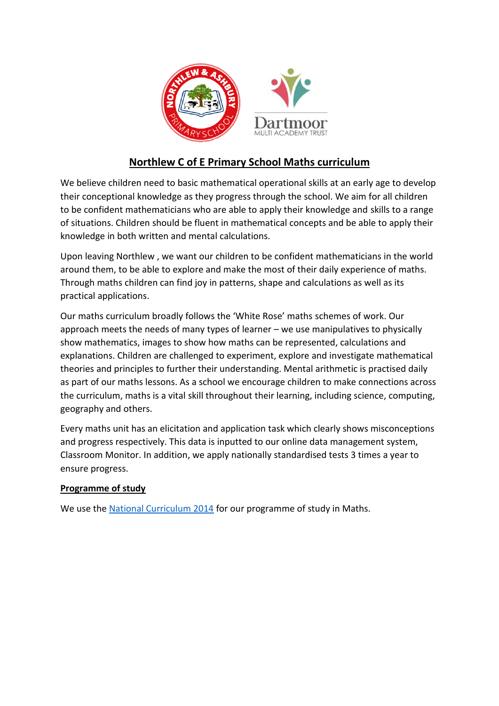

## **Northlew C of E Primary School Maths curriculum**

We believe children need to basic mathematical operational skills at an early age to develop their conceptional knowledge as they progress through the school. We aim for all children to be confident mathematicians who are able to apply their knowledge and skills to a range of situations. Children should be fluent in mathematical concepts and be able to apply their knowledge in both written and mental calculations.

Upon leaving Northlew , we want our children to be confident mathematicians in the world around them, to be able to explore and make the most of their daily experience of maths. Through maths children can find joy in patterns, shape and calculations as well as its practical applications.

Our maths curriculum broadly follows the 'White Rose' maths schemes of work. Our approach meets the needs of many types of learner – we use manipulatives to physically show mathematics, images to show how maths can be represented, calculations and explanations. Children are challenged to experiment, explore and investigate mathematical theories and principles to further their understanding. Mental arithmetic is practised daily as part of our maths lessons. As a school we encourage children to make connections across the curriculum, maths is a vital skill throughout their learning, including science, computing, geography and others.

Every maths unit has an elicitation and application task which clearly shows misconceptions and progress respectively. This data is inputted to our online data management system, Classroom Monitor. In addition, we apply nationally standardised tests 3 times a year to ensure progress.

## **Programme of study**

We use the [National Curriculum 2014](https://assets.publishing.service.gov.uk/government/uploads/system/uploads/attachment_data/file/425601/PRIMARY_national_curriculum.pdf) for our programme of study in Maths.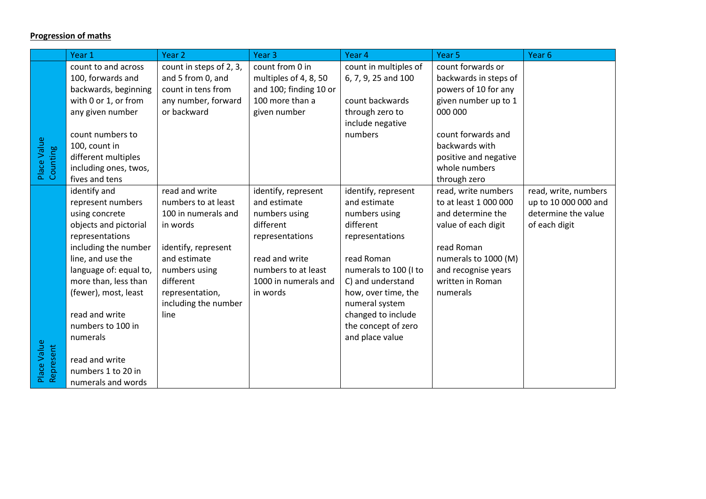## **Progression of maths**

|                          | Year 1                 | Year 2                  | Year <sub>3</sub>      | Year 4                | Year 5                | Year <sub>6</sub>    |
|--------------------------|------------------------|-------------------------|------------------------|-----------------------|-----------------------|----------------------|
|                          | count to and across    | count in steps of 2, 3, | count from 0 in        | count in multiples of | count forwards or     |                      |
|                          | 100, forwards and      | and 5 from 0, and       | multiples of 4, 8, 50  | 6, 7, 9, 25 and 100   | backwards in steps of |                      |
|                          | backwards, beginning   | count in tens from      | and 100; finding 10 or |                       | powers of 10 for any  |                      |
|                          | with 0 or 1, or from   | any number, forward     | 100 more than a        | count backwards       | given number up to 1  |                      |
|                          | any given number       | or backward             | given number           | through zero to       | 000 000               |                      |
|                          |                        |                         |                        | include negative      |                       |                      |
|                          | count numbers to       |                         |                        | numbers               | count forwards and    |                      |
| Place Value<br>Counting  | 100, count in          |                         |                        |                       | backwards with        |                      |
|                          | different multiples    |                         |                        |                       | positive and negative |                      |
|                          | including ones, twos,  |                         |                        |                       | whole numbers         |                      |
|                          | fives and tens         |                         |                        |                       | through zero          |                      |
|                          | identify and           | read and write          | identify, represent    | identify, represent   | read, write numbers   | read, write, numbers |
|                          | represent numbers      | numbers to at least     | and estimate           | and estimate          | to at least 1 000 000 | up to 10 000 000 and |
|                          | using concrete         | 100 in numerals and     | numbers using          | numbers using         | and determine the     | determine the value  |
|                          | objects and pictorial  | in words                | different              | different             | value of each digit   | of each digit        |
|                          | representations        |                         | representations        | representations       |                       |                      |
|                          | including the number   | identify, represent     |                        |                       | read Roman            |                      |
|                          | line, and use the      | and estimate            | read and write         | read Roman            | numerals to 1000 (M)  |                      |
|                          | language of: equal to, | numbers using           | numbers to at least    | numerals to 100 (I to | and recognise years   |                      |
|                          | more than, less than   | different               | 1000 in numerals and   | C) and understand     | written in Roman      |                      |
|                          | (fewer), most, least   | representation,         | in words               | how, over time, the   | numerals              |                      |
|                          |                        | including the number    |                        | numeral system        |                       |                      |
|                          | read and write         | line                    |                        | changed to include    |                       |                      |
|                          | numbers to 100 in      |                         |                        | the concept of zero   |                       |                      |
|                          | numerals               |                         |                        | and place value       |                       |                      |
|                          |                        |                         |                        |                       |                       |                      |
| Place Value<br>Represent | read and write         |                         |                        |                       |                       |                      |
|                          | numbers 1 to 20 in     |                         |                        |                       |                       |                      |
|                          | numerals and words     |                         |                        |                       |                       |                      |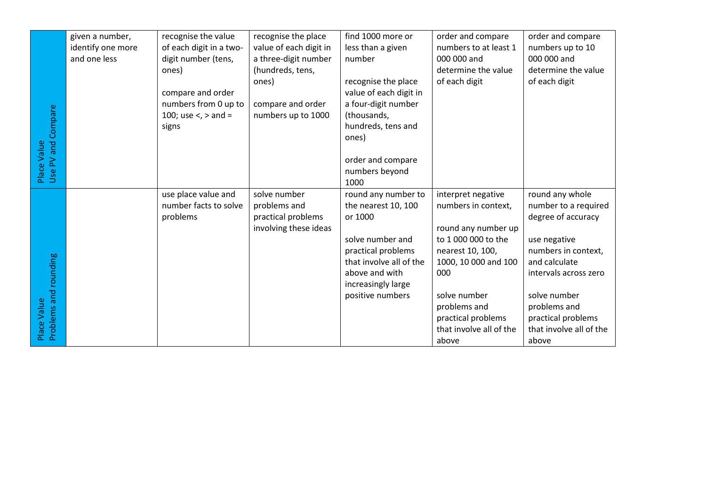|                                      | given a number,   | recognise the value     | recognise the place    | find 1000 more or       | order and compare       | order and compare       |
|--------------------------------------|-------------------|-------------------------|------------------------|-------------------------|-------------------------|-------------------------|
|                                      | identify one more | of each digit in a two- | value of each digit in | less than a given       | numbers to at least 1   | numbers up to 10        |
|                                      | and one less      | digit number (tens,     | a three-digit number   | number                  | 000 000 and             | 000 000 and             |
|                                      |                   | ones)                   | (hundreds, tens,       |                         | determine the value     | determine the value     |
|                                      |                   |                         | ones)                  | recognise the place     | of each digit           | of each digit           |
|                                      |                   | compare and order       |                        | value of each digit in  |                         |                         |
|                                      |                   | numbers from 0 up to    | compare and order      | a four-digit number     |                         |                         |
|                                      |                   | 100; use <, > and =     | numbers up to 1000     | (thousands,             |                         |                         |
|                                      |                   | signs                   |                        | hundreds, tens and      |                         |                         |
| Place Value<br>Use PV and Compare    |                   |                         |                        | ones)                   |                         |                         |
|                                      |                   |                         |                        |                         |                         |                         |
|                                      |                   |                         |                        | order and compare       |                         |                         |
|                                      |                   |                         |                        | numbers beyond          |                         |                         |
|                                      |                   |                         |                        | 1000                    |                         |                         |
|                                      |                   | use place value and     | solve number           | round any number to     | interpret negative      | round any whole         |
|                                      |                   | number facts to solve   | problems and           | the nearest 10, 100     | numbers in context,     | number to a required    |
|                                      |                   | problems                | practical problems     | or 1000                 |                         | degree of accuracy      |
|                                      |                   |                         | involving these ideas  |                         | round any number up     |                         |
|                                      |                   |                         |                        | solve number and        | to 1 000 000 to the     | use negative            |
|                                      |                   |                         |                        | practical problems      | nearest 10, 100,        | numbers in context,     |
|                                      |                   |                         |                        | that involve all of the | 1000, 10 000 and 100    | and calculate           |
|                                      |                   |                         |                        | above and with          | 000                     | intervals across zero   |
|                                      |                   |                         |                        | increasingly large      |                         |                         |
| Place Value<br>Problems and rounding |                   |                         |                        | positive numbers        | solve number            | solve number            |
|                                      |                   |                         |                        |                         | problems and            | problems and            |
|                                      |                   |                         |                        |                         | practical problems      | practical problems      |
|                                      |                   |                         |                        |                         | that involve all of the | that involve all of the |
|                                      |                   |                         |                        |                         | above                   | above                   |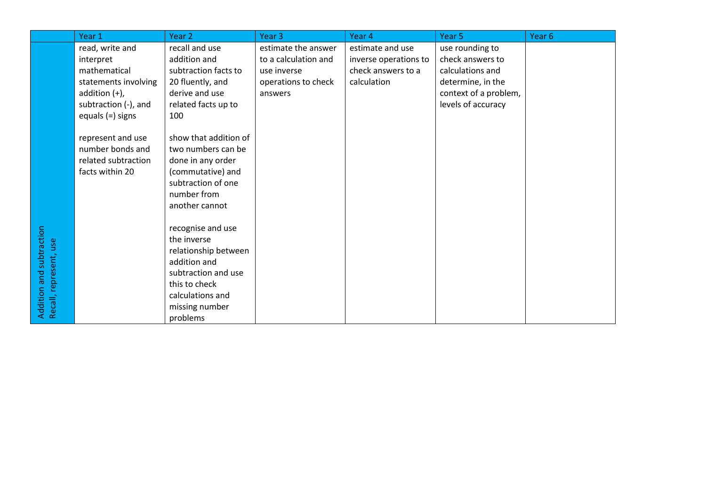|                                                    | Year 1               | Year 2                | Year <sub>3</sub>    | Year 4                | Year <sub>5</sub>     | Year <sub>6</sub> |
|----------------------------------------------------|----------------------|-----------------------|----------------------|-----------------------|-----------------------|-------------------|
|                                                    | read, write and      | recall and use        | estimate the answer  | estimate and use      | use rounding to       |                   |
|                                                    | interpret            | addition and          | to a calculation and | inverse operations to | check answers to      |                   |
|                                                    | mathematical         | subtraction facts to  | use inverse          | check answers to a    | calculations and      |                   |
|                                                    | statements involving | 20 fluently, and      | operations to check  | calculation           | determine, in the     |                   |
|                                                    | addition $(+)$ ,     | derive and use        | answers              |                       | context of a problem, |                   |
|                                                    | subtraction (-), and | related facts up to   |                      |                       | levels of accuracy    |                   |
|                                                    | equals $(=)$ signs   | 100                   |                      |                       |                       |                   |
|                                                    |                      |                       |                      |                       |                       |                   |
|                                                    | represent and use    | show that addition of |                      |                       |                       |                   |
|                                                    | number bonds and     | two numbers can be    |                      |                       |                       |                   |
|                                                    | related subtraction  | done in any order     |                      |                       |                       |                   |
|                                                    | facts within 20      | (commutative) and     |                      |                       |                       |                   |
|                                                    |                      | subtraction of one    |                      |                       |                       |                   |
|                                                    |                      | number from           |                      |                       |                       |                   |
|                                                    |                      | another cannot        |                      |                       |                       |                   |
|                                                    |                      |                       |                      |                       |                       |                   |
|                                                    |                      | recognise and use     |                      |                       |                       |                   |
|                                                    |                      | the inverse           |                      |                       |                       |                   |
|                                                    |                      | relationship between  |                      |                       |                       |                   |
|                                                    |                      | addition and          |                      |                       |                       |                   |
|                                                    |                      | subtraction and use   |                      |                       |                       |                   |
|                                                    |                      | this to check         |                      |                       |                       |                   |
|                                                    |                      | calculations and      |                      |                       |                       |                   |
| Addition and subtraction<br>Recall, represent, use |                      | missing number        |                      |                       |                       |                   |
|                                                    |                      | problems              |                      |                       |                       |                   |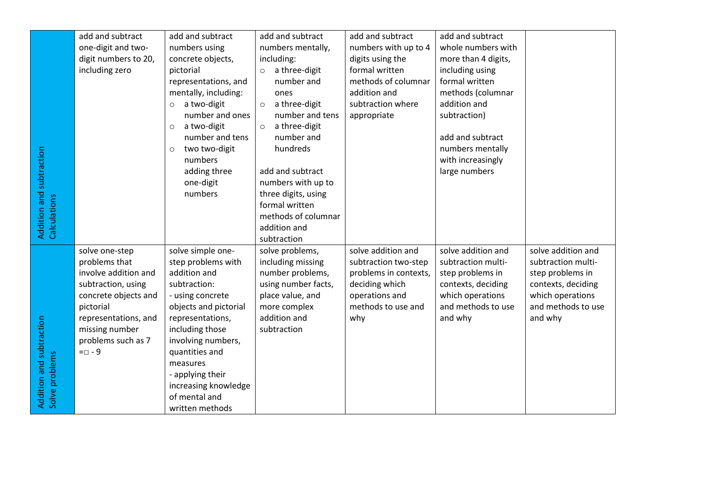|                                            | add and subtract     | add and subtract         | add and subtract         | add and subtract      | add and subtract    |                    |
|--------------------------------------------|----------------------|--------------------------|--------------------------|-----------------------|---------------------|--------------------|
|                                            | one-digit and two-   | numbers using            | numbers mentally,        | numbers with up to 4  | whole numbers with  |                    |
|                                            | digit numbers to 20, | concrete objects,        | including:               | digits using the      | more than 4 digits, |                    |
|                                            | including zero       | pictorial                | a three-digit<br>$\circ$ | formal written        | including using     |                    |
|                                            |                      | representations, and     | number and               | methods of columnar   | formal written      |                    |
|                                            |                      | mentally, including:     | ones                     | addition and          | methods (columnar   |                    |
|                                            |                      | a two-digit<br>$\circ$   | a three-digit<br>$\circ$ | subtraction where     | addition and        |                    |
|                                            |                      | number and ones          | number and tens          | appropriate           | subtraction)        |                    |
|                                            |                      | a two-digit<br>$\circ$   | a three-digit<br>$\circ$ |                       |                     |                    |
|                                            |                      | number and tens          | number and               |                       | add and subtract    |                    |
|                                            |                      | two two-digit<br>$\circ$ | hundreds                 |                       | numbers mentally    |                    |
|                                            |                      | numbers                  |                          |                       | with increasingly   |                    |
|                                            |                      | adding three             | add and subtract         |                       | large numbers       |                    |
|                                            |                      | one-digit                | numbers with up to       |                       |                     |                    |
| Addition and subtraction<br>Calculations   |                      | numbers                  | three digits, using      |                       |                     |                    |
|                                            |                      |                          | formal written           |                       |                     |                    |
|                                            |                      |                          | methods of columnar      |                       |                     |                    |
|                                            |                      |                          | addition and             |                       |                     |                    |
|                                            |                      |                          | subtraction              |                       |                     |                    |
|                                            | solve one-step       | solve simple one-        | solve problems,          | solve addition and    | solve addition and  | solve addition and |
|                                            | problems that        | step problems with       | including missing        | subtraction two-step  | subtraction multi-  | subtraction multi- |
|                                            | involve addition and | addition and             | number problems,         | problems in contexts, | step problems in    | step problems in   |
|                                            | subtraction, using   | subtraction:             | using number facts,      | deciding which        | contexts, deciding  | contexts, deciding |
|                                            | concrete objects and | - using concrete         | place value, and         | operations and        | which operations    | which operations   |
|                                            | pictorial            | objects and pictorial    | more complex             | methods to use and    | and methods to use  | and methods to use |
|                                            | representations, and | representations,         | addition and             | why                   | and why             | and why            |
|                                            | missing number       | including those          | subtraction              |                       |                     |                    |
|                                            | problems such as 7   | involving numbers,       |                          |                       |                     |                    |
|                                            | $= 9$                | quantities and           |                          |                       |                     |                    |
|                                            |                      | measures                 |                          |                       |                     |                    |
| Addition and subtraction<br>Solve problems |                      | - applying their         |                          |                       |                     |                    |
|                                            |                      | increasing knowledge     |                          |                       |                     |                    |
|                                            |                      | of mental and            |                          |                       |                     |                    |
|                                            |                      | written methods          |                          |                       |                     |                    |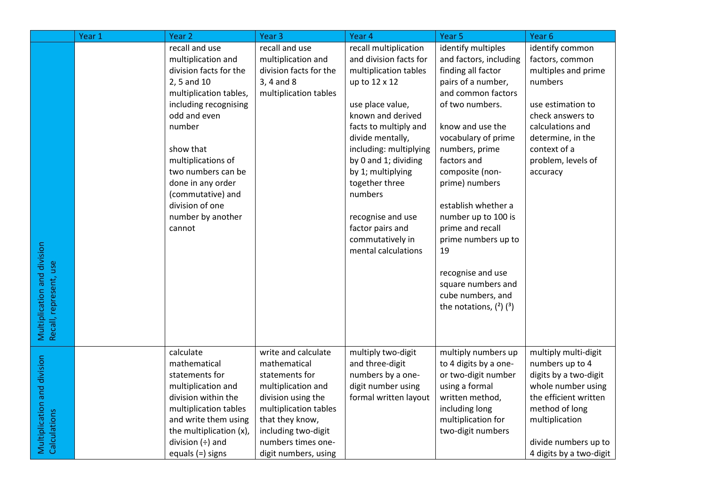|                                                       | Year 1 | Year <sub>2</sub>           | Year <sub>3</sub>      | Year 4                                | Year <sub>5</sub>                       | Year <sub>6</sub>       |
|-------------------------------------------------------|--------|-----------------------------|------------------------|---------------------------------------|-----------------------------------------|-------------------------|
|                                                       |        | recall and use              | recall and use         | recall multiplication                 | identify multiples                      | identify common         |
|                                                       |        | multiplication and          | multiplication and     | and division facts for                | and factors, including                  | factors, common         |
|                                                       |        | division facts for the      | division facts for the | multiplication tables                 | finding all factor                      | multiples and prime     |
|                                                       |        | 2, 5 and 10                 | 3, 4 and 8             | up to 12 x 12                         | pairs of a number,                      | numbers                 |
|                                                       |        | multiplication tables,      | multiplication tables  |                                       | and common factors                      |                         |
|                                                       |        | including recognising       |                        | use place value,                      | of two numbers.                         | use estimation to       |
|                                                       |        | odd and even                |                        | known and derived                     |                                         | check answers to        |
|                                                       |        | number                      |                        | facts to multiply and                 | know and use the                        | calculations and        |
|                                                       |        |                             |                        | divide mentally,                      | vocabulary of prime                     | determine, in the       |
|                                                       |        | show that                   |                        | including: multiplying                | numbers, prime                          | context of a            |
|                                                       |        | multiplications of          |                        | by 0 and 1; dividing                  | factors and                             | problem, levels of      |
|                                                       |        | two numbers can be          |                        | by 1; multiplying                     | composite (non-                         | accuracy                |
|                                                       |        | done in any order           |                        | together three                        | prime) numbers                          |                         |
|                                                       |        | (commutative) and           |                        | numbers                               |                                         |                         |
|                                                       |        | division of one             |                        |                                       | establish whether a                     |                         |
|                                                       |        | number by another<br>cannot |                        | recognise and use<br>factor pairs and | number up to 100 is<br>prime and recall |                         |
|                                                       |        |                             |                        | commutatively in                      | prime numbers up to                     |                         |
|                                                       |        |                             |                        | mental calculations                   | 19                                      |                         |
|                                                       |        |                             |                        |                                       |                                         |                         |
|                                                       |        |                             |                        |                                       | recognise and use                       |                         |
|                                                       |        |                             |                        |                                       | square numbers and                      |                         |
|                                                       |        |                             |                        |                                       | cube numbers, and                       |                         |
|                                                       |        |                             |                        |                                       | the notations, $(^{2})$ $(^{3})$        |                         |
|                                                       |        |                             |                        |                                       |                                         |                         |
| Multiplication and division<br>Recall, represent, use |        |                             |                        |                                       |                                         |                         |
|                                                       |        |                             |                        |                                       |                                         |                         |
|                                                       |        | calculate                   | write and calculate    | multiply two-digit                    | multiply numbers up                     | multiply multi-digit    |
|                                                       |        | mathematical                | mathematical           | and three-digit                       | to 4 digits by a one-                   | numbers up to 4         |
|                                                       |        | statements for              | statements for         | numbers by a one-                     | or two-digit number                     | digits by a two-digit   |
|                                                       |        | multiplication and          | multiplication and     | digit number using                    | using a formal                          | whole number using      |
| Multiplication and division                           |        | division within the         | division using the     | formal written layout                 | written method,                         | the efficient written   |
|                                                       |        | multiplication tables       | multiplication tables  |                                       | including long                          | method of long          |
| Calculations                                          |        | and write them using        | that they know,        |                                       | multiplication for                      | multiplication          |
|                                                       |        | the multiplication (x),     | including two-digit    |                                       | two-digit numbers                       |                         |
|                                                       |        | division $(\div)$ and       | numbers times one-     |                                       |                                         | divide numbers up to    |
|                                                       |        | equals (=) signs            | digit numbers, using   |                                       |                                         | 4 digits by a two-digit |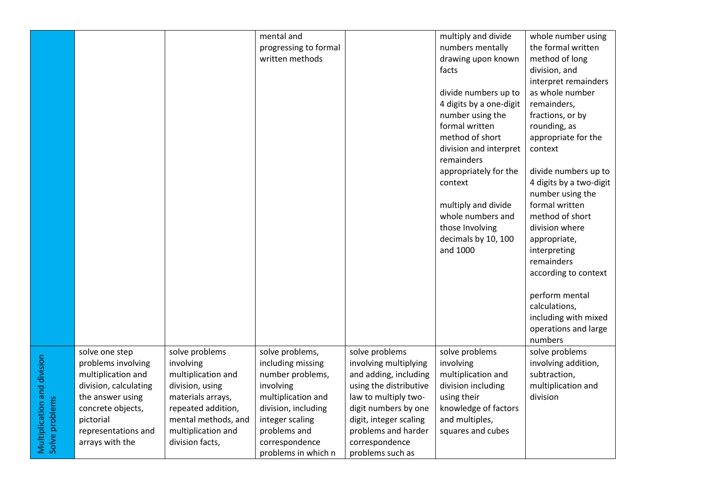|                                               |                       |                     | mental and            |                        | multiply and divide     | whole number using      |
|-----------------------------------------------|-----------------------|---------------------|-----------------------|------------------------|-------------------------|-------------------------|
|                                               |                       |                     | progressing to formal |                        | numbers mentally        | the formal written      |
|                                               |                       |                     | written methods       |                        | drawing upon known      | method of long          |
|                                               |                       |                     |                       |                        | facts                   | division, and           |
|                                               |                       |                     |                       |                        |                         | interpret remainders    |
|                                               |                       |                     |                       |                        | divide numbers up to    | as whole number         |
|                                               |                       |                     |                       |                        | 4 digits by a one-digit | remainders,             |
|                                               |                       |                     |                       |                        | number using the        | fractions, or by        |
|                                               |                       |                     |                       |                        | formal written          | rounding, as            |
|                                               |                       |                     |                       |                        | method of short         | appropriate for the     |
|                                               |                       |                     |                       |                        | division and interpret  | context                 |
|                                               |                       |                     |                       |                        | remainders              |                         |
|                                               |                       |                     |                       |                        | appropriately for the   | divide numbers up to    |
|                                               |                       |                     |                       |                        | context                 | 4 digits by a two-digit |
|                                               |                       |                     |                       |                        |                         | number using the        |
|                                               |                       |                     |                       |                        | multiply and divide     | formal written          |
|                                               |                       |                     |                       |                        | whole numbers and       | method of short         |
|                                               |                       |                     |                       |                        | those Involving         | division where          |
|                                               |                       |                     |                       |                        | decimals by 10, 100     | appropriate,            |
|                                               |                       |                     |                       |                        | and 1000                | interpreting            |
|                                               |                       |                     |                       |                        |                         | remainders              |
|                                               |                       |                     |                       |                        |                         | according to context    |
|                                               |                       |                     |                       |                        |                         |                         |
|                                               |                       |                     |                       |                        |                         | perform mental          |
|                                               |                       |                     |                       |                        |                         | calculations,           |
|                                               |                       |                     |                       |                        |                         | including with mixed    |
|                                               |                       |                     |                       |                        |                         | operations and large    |
|                                               |                       |                     |                       |                        |                         | numbers                 |
|                                               | solve one step        | solve problems      | solve problems,       | solve problems         | solve problems          | solve problems          |
|                                               | problems involving    | involving           | including missing     | involving multiplying  | involving               | involving addition,     |
|                                               | multiplication and    | multiplication and  | number problems,      | and adding, including  | multiplication and      | subtraction,            |
| Multiplication and division<br>Solve problems | division, calculating | division, using     | involving             | using the distributive | division including      | multiplication and      |
|                                               | the answer using      | materials arrays,   | multiplication and    | law to multiply two-   | using their             | division                |
|                                               | concrete objects,     | repeated addition,  | division, including   | digit numbers by one   | knowledge of factors    |                         |
|                                               | pictorial             | mental methods, and | integer scaling       | digit, integer scaling | and multiples,          |                         |
|                                               | representations and   | multiplication and  | problems and          | problems and harder    | squares and cubes       |                         |
|                                               | arrays with the       | division facts,     | correspondence        | correspondence         |                         |                         |
|                                               |                       |                     | problems in which n   | problems such as       |                         |                         |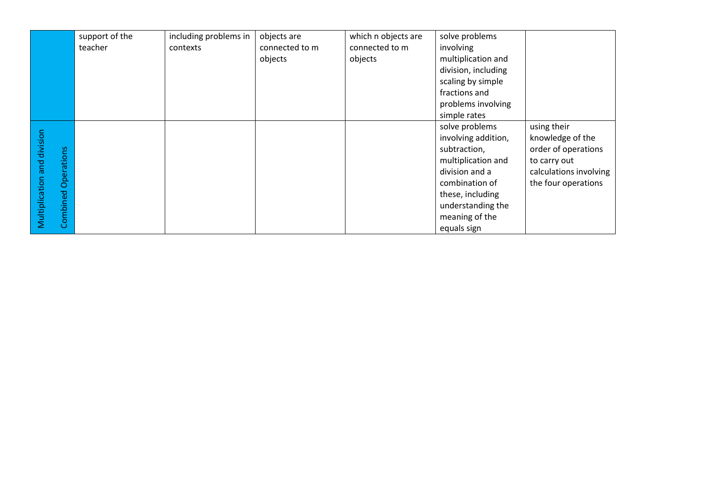|                             |            | support of the | including problems in | objects are    | which n objects are | solve problems      |                        |
|-----------------------------|------------|----------------|-----------------------|----------------|---------------------|---------------------|------------------------|
|                             |            | teacher        | contexts              | connected to m | connected to m      | involving           |                        |
|                             |            |                |                       | objects        | objects             | multiplication and  |                        |
|                             |            |                |                       |                |                     | division, including |                        |
|                             |            |                |                       |                |                     | scaling by simple   |                        |
|                             |            |                |                       |                |                     | fractions and       |                        |
|                             |            |                |                       |                |                     | problems involving  |                        |
|                             |            |                |                       |                |                     | simple rates        |                        |
|                             |            |                |                       |                |                     | solve problems      | using their            |
|                             |            |                |                       |                |                     | involving addition, | knowledge of the       |
|                             |            |                |                       |                |                     | subtraction,        | order of operations    |
|                             | Operations |                |                       |                |                     | multiplication and  | to carry out           |
|                             |            |                |                       |                |                     | division and a      | calculations involving |
|                             |            |                |                       |                |                     | combination of      | the four operations    |
|                             |            |                |                       |                |                     | these, including    |                        |
|                             |            |                |                       |                |                     | understanding the   |                        |
| Multiplication and division | Combined   |                |                       |                |                     | meaning of the      |                        |
|                             |            |                |                       |                |                     | equals sign         |                        |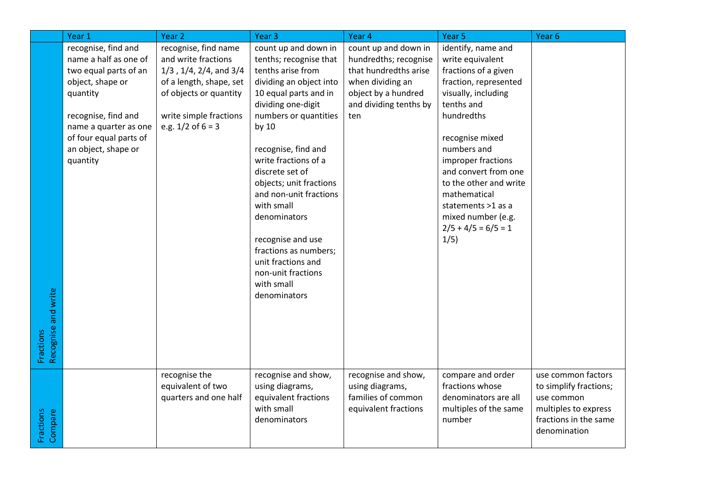|                                  | Year 1                                                                                                                                                                                                             | Year <sub>2</sub>                                                                                                                                                                        | Year <sub>3</sub>                                                                                                                                                                                                                                                                                                                                                                                                                                            | Year 4                                                                                                                                             | Year <sub>5</sub>                                                                                                                                                                                                                                                                                                                                 | Year 6                                                                                                                      |
|----------------------------------|--------------------------------------------------------------------------------------------------------------------------------------------------------------------------------------------------------------------|------------------------------------------------------------------------------------------------------------------------------------------------------------------------------------------|--------------------------------------------------------------------------------------------------------------------------------------------------------------------------------------------------------------------------------------------------------------------------------------------------------------------------------------------------------------------------------------------------------------------------------------------------------------|----------------------------------------------------------------------------------------------------------------------------------------------------|---------------------------------------------------------------------------------------------------------------------------------------------------------------------------------------------------------------------------------------------------------------------------------------------------------------------------------------------------|-----------------------------------------------------------------------------------------------------------------------------|
| Recognise and write<br>Fractions | recognise, find and<br>name a half as one of<br>two equal parts of an<br>object, shape or<br>quantity<br>recognise, find and<br>name a quarter as one<br>of four equal parts of<br>an object, shape or<br>quantity | recognise, find name<br>and write fractions<br>$1/3$ , $1/4$ , $2/4$ , and $3/4$<br>of a length, shape, set<br>of objects or quantity<br>write simple fractions<br>e.g. $1/2$ of $6 = 3$ | count up and down in<br>tenths; recognise that<br>tenths arise from<br>dividing an object into<br>10 equal parts and in<br>dividing one-digit<br>numbers or quantities<br>by 10<br>recognise, find and<br>write fractions of a<br>discrete set of<br>objects; unit fractions<br>and non-unit fractions<br>with small<br>denominators<br>recognise and use<br>fractions as numbers;<br>unit fractions and<br>non-unit fractions<br>with small<br>denominators | count up and down in<br>hundredths; recognise<br>that hundredths arise<br>when dividing an<br>object by a hundred<br>and dividing tenths by<br>ten | identify, name and<br>write equivalent<br>fractions of a given<br>fraction, represented<br>visually, including<br>tenths and<br>hundredths<br>recognise mixed<br>numbers and<br>improper fractions<br>and convert from one<br>to the other and write<br>mathematical<br>statements >1 as a<br>mixed number (e.g.<br>$2/5 + 4/5 = 6/5 = 1$<br>1/5) |                                                                                                                             |
| Fractions<br>Compare             |                                                                                                                                                                                                                    | recognise the<br>equivalent of two<br>quarters and one half                                                                                                                              | recognise and show,<br>using diagrams,<br>equivalent fractions<br>with small<br>denominators                                                                                                                                                                                                                                                                                                                                                                 | recognise and show,<br>using diagrams,<br>families of common<br>equivalent fractions                                                               | compare and order<br>fractions whose<br>denominators are all<br>multiples of the same<br>number                                                                                                                                                                                                                                                   | use common factors<br>to simplify fractions;<br>use common<br>multiples to express<br>fractions in the same<br>denomination |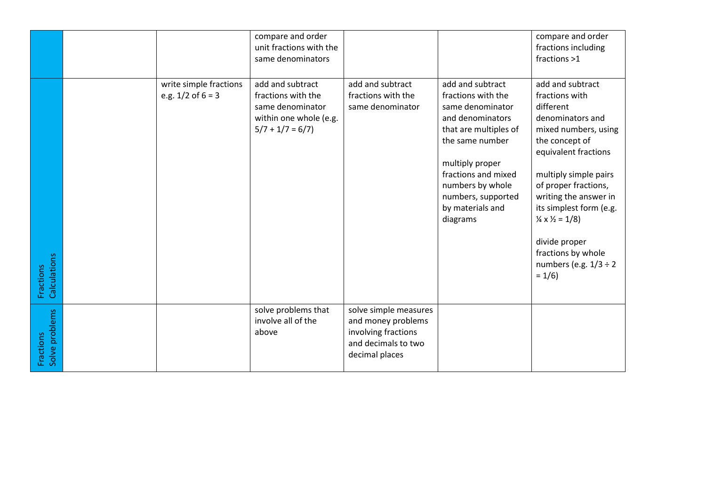|                             |                                                 | compare and order<br>unit fractions with the<br>same denominators                                         |                                                                                                             |                                                                                                                                                                                                                                                | compare and order<br>fractions including<br>fractions >1                                                                                                                                                                                                                                                                                                             |
|-----------------------------|-------------------------------------------------|-----------------------------------------------------------------------------------------------------------|-------------------------------------------------------------------------------------------------------------|------------------------------------------------------------------------------------------------------------------------------------------------------------------------------------------------------------------------------------------------|----------------------------------------------------------------------------------------------------------------------------------------------------------------------------------------------------------------------------------------------------------------------------------------------------------------------------------------------------------------------|
| Calculations<br>Fractions   | write simple fractions<br>e.g. $1/2$ of $6 = 3$ | add and subtract<br>fractions with the<br>same denominator<br>within one whole (e.g.<br>$5/7 + 1/7 = 6/7$ | add and subtract<br>fractions with the<br>same denominator                                                  | add and subtract<br>fractions with the<br>same denominator<br>and denominators<br>that are multiples of<br>the same number<br>multiply proper<br>fractions and mixed<br>numbers by whole<br>numbers, supported<br>by materials and<br>diagrams | add and subtract<br>fractions with<br>different<br>denominators and<br>mixed numbers, using<br>the concept of<br>equivalent fractions<br>multiply simple pairs<br>of proper fractions,<br>writing the answer in<br>its simplest form (e.g.<br>$\frac{1}{4} \times \frac{1}{2} = 1/8$<br>divide proper<br>fractions by whole<br>numbers (e.g. $1/3 \div 2$<br>$= 1/6$ |
| Solve problems<br>Fractions |                                                 | solve problems that<br>involve all of the<br>above                                                        | solve simple measures<br>and money problems<br>involving fractions<br>and decimals to two<br>decimal places |                                                                                                                                                                                                                                                |                                                                                                                                                                                                                                                                                                                                                                      |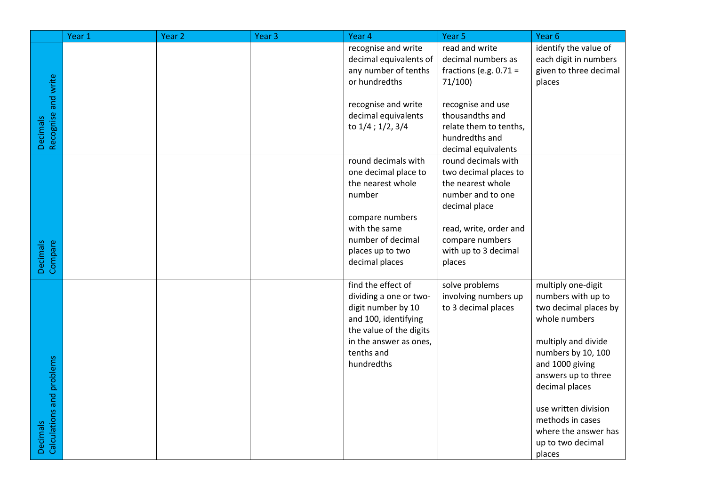|                                              | Year 1 | Year <sub>2</sub> | Year <sub>3</sub> | Year 4                                                                                                                                                                      | Year 5                                                                                                                                                                                 | Year <sub>6</sub>                                                                                                                                                                                                                                                                              |
|----------------------------------------------|--------|-------------------|-------------------|-----------------------------------------------------------------------------------------------------------------------------------------------------------------------------|----------------------------------------------------------------------------------------------------------------------------------------------------------------------------------------|------------------------------------------------------------------------------------------------------------------------------------------------------------------------------------------------------------------------------------------------------------------------------------------------|
|                                              |        |                   |                   | recognise and write<br>decimal equivalents of<br>any number of tenths<br>or hundredths                                                                                      | read and write<br>decimal numbers as<br>fractions (e.g. $0.71 =$<br>71/100                                                                                                             | identify the value of<br>each digit in numbers<br>given to three decimal<br>places                                                                                                                                                                                                             |
| Decimals<br>Recognise and write              |        |                   |                   | recognise and write<br>decimal equivalents<br>to 1/4 ; 1/2, 3/4                                                                                                             | recognise and use<br>thousandths and<br>relate them to tenths,<br>hundredths and<br>decimal equivalents                                                                                |                                                                                                                                                                                                                                                                                                |
| Compare<br>Decimals                          |        |                   |                   | round decimals with<br>one decimal place to<br>the nearest whole<br>number<br>compare numbers<br>with the same<br>number of decimal<br>places up to two<br>decimal places   | round decimals with<br>two decimal places to<br>the nearest whole<br>number and to one<br>decimal place<br>read, write, order and<br>compare numbers<br>with up to 3 decimal<br>places |                                                                                                                                                                                                                                                                                                |
| Calculations and problems<br><b>Decimals</b> |        |                   |                   | find the effect of<br>dividing a one or two-<br>digit number by 10<br>and 100, identifying<br>the value of the digits<br>in the answer as ones,<br>tenths and<br>hundredths | solve problems<br>involving numbers up<br>to 3 decimal places                                                                                                                          | multiply one-digit<br>numbers with up to<br>two decimal places by<br>whole numbers<br>multiply and divide<br>numbers by 10, 100<br>and 1000 giving<br>answers up to three<br>decimal places<br>use written division<br>methods in cases<br>where the answer has<br>up to two decimal<br>places |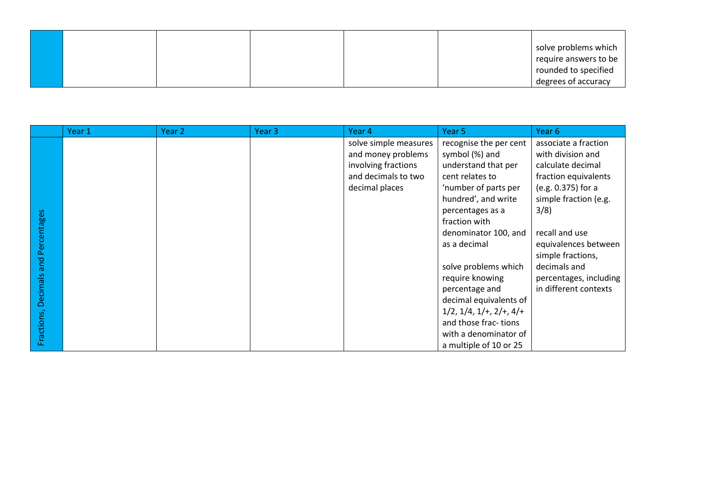|  |  |  | solve problems which  |
|--|--|--|-----------------------|
|  |  |  | require answers to be |
|  |  |  | rounded to specified  |
|  |  |  | degrees of accuracy   |

|             | Year 1 | Year 2 | Year 3 | Year 4                | Year 5                                | Year 6                 |
|-------------|--------|--------|--------|-----------------------|---------------------------------------|------------------------|
|             |        |        |        | solve simple measures | recognise the per cent                | associate a fraction   |
|             |        |        |        | and money problems    | symbol (%) and                        | with division and      |
|             |        |        |        | involving fractions   | understand that per                   | calculate decimal      |
|             |        |        |        | and decimals to two   | cent relates to                       | fraction equivalents   |
|             |        |        |        | decimal places        | 'number of parts per                  | (e.g. 0.375) for a     |
|             |        |        |        |                       | hundred', and write                   | simple fraction (e.g.  |
|             |        |        |        |                       | percentages as a                      | 3/8)                   |
|             |        |        |        |                       | fraction with                         |                        |
|             |        |        |        |                       | denominator 100, and                  | recall and use         |
| Percentages |        |        |        |                       | as a decimal                          | equivalences between   |
|             |        |        |        |                       |                                       | simple fractions,      |
| and         |        |        |        |                       | solve problems which                  | decimals and           |
|             |        |        |        |                       | require knowing                       | percentages, including |
|             |        |        |        |                       | percentage and                        | in different contexts  |
| Decimals    |        |        |        |                       | decimal equivalents of                |                        |
|             |        |        |        |                       | $1/2$ , $1/4$ , $1/4$ , $2/4$ , $4/4$ |                        |
|             |        |        |        |                       | and those frac-tions                  |                        |
| Fractions,  |        |        |        |                       | with a denominator of                 |                        |
|             |        |        |        |                       | a multiple of 10 or 25                |                        |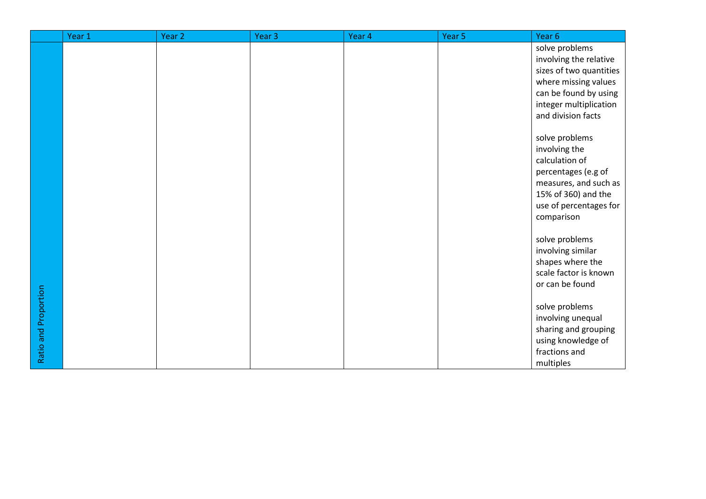|                      | Year 1 | Year <sub>2</sub> | Year <sub>3</sub> | Year 4 | Year 5 | Year 6                                |
|----------------------|--------|-------------------|-------------------|--------|--------|---------------------------------------|
|                      |        |                   |                   |        |        | solve problems                        |
|                      |        |                   |                   |        |        | involving the relative                |
|                      |        |                   |                   |        |        | sizes of two quantities               |
|                      |        |                   |                   |        |        | where missing values                  |
|                      |        |                   |                   |        |        | can be found by using                 |
|                      |        |                   |                   |        |        | integer multiplication                |
|                      |        |                   |                   |        |        | and division facts                    |
|                      |        |                   |                   |        |        |                                       |
|                      |        |                   |                   |        |        | solve problems                        |
|                      |        |                   |                   |        |        | involving the                         |
|                      |        |                   |                   |        |        | calculation of<br>percentages (e.g of |
|                      |        |                   |                   |        |        | measures, and such as                 |
|                      |        |                   |                   |        |        | 15% of 360) and the                   |
|                      |        |                   |                   |        |        | use of percentages for                |
|                      |        |                   |                   |        |        | comparison                            |
|                      |        |                   |                   |        |        |                                       |
|                      |        |                   |                   |        |        | solve problems                        |
|                      |        |                   |                   |        |        | involving similar                     |
|                      |        |                   |                   |        |        | shapes where the                      |
|                      |        |                   |                   |        |        | scale factor is known                 |
|                      |        |                   |                   |        |        | or can be found                       |
| Ratio and Proportion |        |                   |                   |        |        |                                       |
|                      |        |                   |                   |        |        | solve problems                        |
|                      |        |                   |                   |        |        | involving unequal                     |
|                      |        |                   |                   |        |        | sharing and grouping                  |
|                      |        |                   |                   |        |        | using knowledge of                    |
|                      |        |                   |                   |        |        | fractions and                         |
|                      |        |                   |                   |        |        | multiples                             |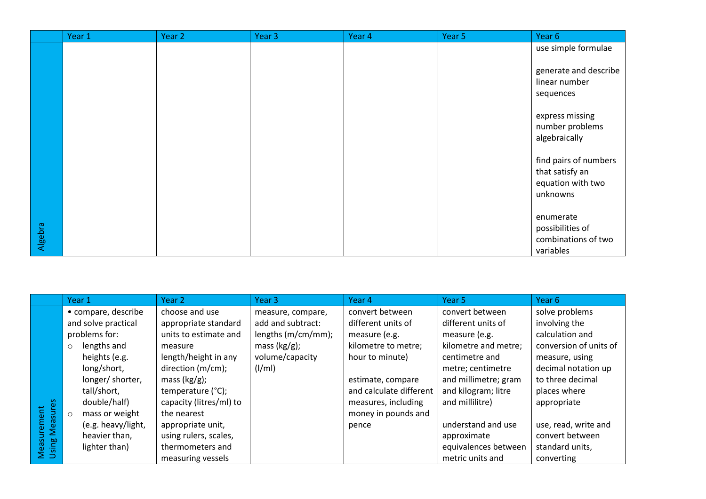|         | Year 1 | Year 2 | Year 3 | Year 4 | Year 5 | Year 6                                                                    |
|---------|--------|--------|--------|--------|--------|---------------------------------------------------------------------------|
|         |        |        |        |        |        | use simple formulae                                                       |
|         |        |        |        |        |        | generate and describe<br>linear number<br>sequences                       |
|         |        |        |        |        |        | express missing<br>number problems<br>algebraically                       |
|         |        |        |        |        |        | find pairs of numbers<br>that satisfy an<br>equation with two<br>unknowns |
| Algebra |        |        |        |        |        | enumerate<br>possibilities of<br>combinations of two<br>variables         |

|                                      | Year 1                    | Year 2                  | Year 3             | Year 4                  | Year 5               | Year 6                 |
|--------------------------------------|---------------------------|-------------------------|--------------------|-------------------------|----------------------|------------------------|
|                                      | • compare, describe       | choose and use          | measure, compare,  | convert between         | convert between      | solve problems         |
|                                      | and solve practical       | appropriate standard    | add and subtract:  | different units of      | different units of   | involving the          |
|                                      | problems for:             | units to estimate and   | lengths (m/cm/mm); | measure (e.g.           | measure (e.g.        | calculation and        |
|                                      | lengths and<br>$\circ$    | measure                 | mass $(kg/g)$ ;    | kilometre to metre;     | kilometre and metre; | conversion of units of |
|                                      | heights (e.g.             | length/height in any    | volume/capacity    | hour to minute)         | centimetre and       | measure, using         |
|                                      | long/short,               | direction (m/cm);       | $\frac{1}{m}$      |                         | metre; centimetre    | decimal notation up    |
|                                      | longer/shorter,           | mass $(kg/g)$ ;         |                    | estimate, compare       | and millimetre; gram | to three decimal       |
|                                      | tall/short,               | temperature (°C);       |                    | and calculate different | and kilogram; litre  | places where           |
|                                      | double/half)              | capacity (litres/ml) to |                    | measures, including     | and millilitre)      | appropriate            |
|                                      | mass or weight<br>$\circ$ | the nearest             |                    | money in pounds and     |                      |                        |
|                                      | (e.g. heavy/light,        | appropriate unit,       |                    | pence                   | understand and use   | use, read, write and   |
|                                      | heavier than,             | using rulers, scales,   |                    |                         | approximate          | convert between        |
| <b>Measurement</b><br>Using Measures | lighter than)             | thermometers and        |                    |                         | equivalences between | standard units,        |
|                                      |                           | measuring vessels       |                    |                         | metric units and     | converting             |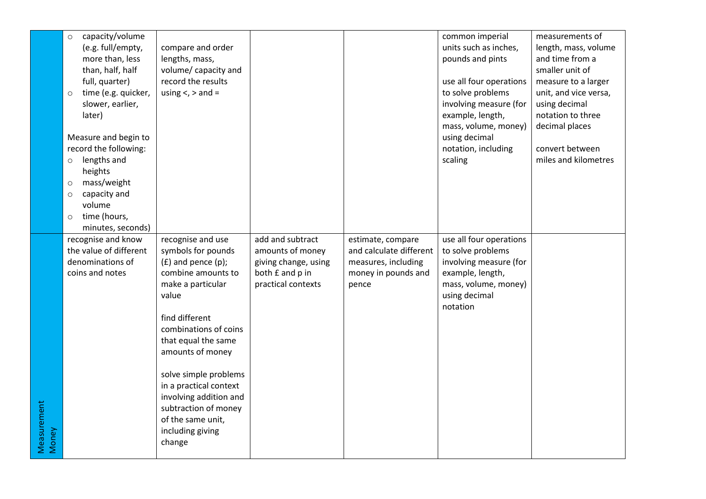|                      | capacity/volume<br>$\circ$<br>(e.g. full/empty,<br>more than, less<br>than, half, half<br>full, quarter)<br>time (e.g. quicker,<br>$\circ$<br>slower, earlier, | compare and order<br>lengths, mass,<br>volume/ capacity and<br>record the results<br>using $\lt$ , $>$ and =                                                                                                                                                                                                                                                         |                                                                                                       |                                                                                                     | common imperial<br>units such as inches,<br>pounds and pints<br>use all four operations<br>to solve problems<br>involving measure (for          | measurements of<br>length, mass, volume<br>and time from a<br>smaller unit of<br>measure to a larger<br>unit, and vice versa,<br>using decimal |
|----------------------|----------------------------------------------------------------------------------------------------------------------------------------------------------------|----------------------------------------------------------------------------------------------------------------------------------------------------------------------------------------------------------------------------------------------------------------------------------------------------------------------------------------------------------------------|-------------------------------------------------------------------------------------------------------|-----------------------------------------------------------------------------------------------------|-------------------------------------------------------------------------------------------------------------------------------------------------|------------------------------------------------------------------------------------------------------------------------------------------------|
|                      | later)<br>Measure and begin to<br>record the following:<br>lengths and<br>$\circ$<br>heights<br>mass/weight<br>$\circ$<br>capacity and<br>$\circ$<br>volume    |                                                                                                                                                                                                                                                                                                                                                                      |                                                                                                       |                                                                                                     | example, length,<br>mass, volume, money)<br>using decimal<br>notation, including<br>scaling                                                     | notation to three<br>decimal places<br>convert between<br>miles and kilometres                                                                 |
|                      | time (hours,<br>$\circ$<br>minutes, seconds)                                                                                                                   |                                                                                                                                                                                                                                                                                                                                                                      |                                                                                                       |                                                                                                     |                                                                                                                                                 |                                                                                                                                                |
| Measurement<br>Money | recognise and know<br>the value of different<br>denominations of<br>coins and notes                                                                            | recognise and use<br>symbols for pounds<br>$(E)$ and pence $(p)$ ;<br>combine amounts to<br>make a particular<br>value<br>find different<br>combinations of coins<br>that equal the same<br>amounts of money<br>solve simple problems<br>in a practical context<br>involving addition and<br>subtraction of money<br>of the same unit,<br>including giving<br>change | add and subtract<br>amounts of money<br>giving change, using<br>both £ and p in<br>practical contexts | estimate, compare<br>and calculate different<br>measures, including<br>money in pounds and<br>pence | use all four operations<br>to solve problems<br>involving measure (for<br>example, length,<br>mass, volume, money)<br>using decimal<br>notation |                                                                                                                                                |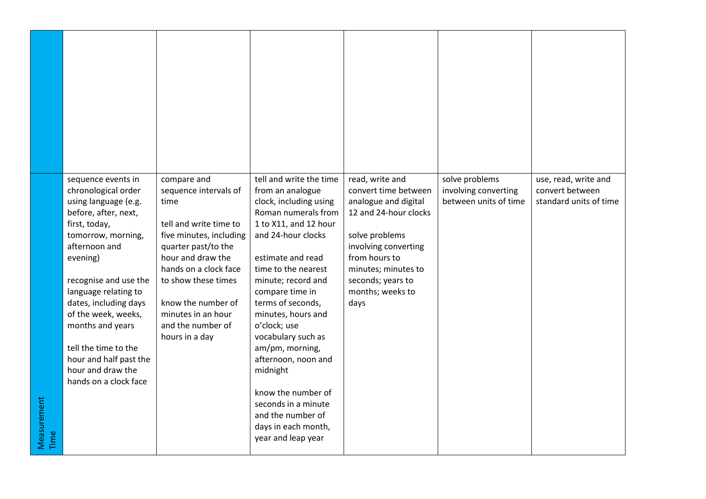| Measurement<br>Time | sequence events in<br>chronological order<br>using language (e.g.<br>before, after, next,<br>first, today,<br>tomorrow, morning,<br>afternoon and<br>evening)<br>recognise and use the<br>language relating to<br>dates, including days<br>of the week, weeks,<br>months and years<br>tell the time to the<br>hour and half past the<br>hour and draw the<br>hands on a clock face | compare and<br>sequence intervals of<br>time<br>tell and write time to<br>five minutes, including<br>quarter past/to the<br>hour and draw the<br>hands on a clock face<br>to show these times<br>know the number of<br>minutes in an hour<br>and the number of<br>hours in a day | tell and write the time<br>from an analogue<br>clock, including using<br>Roman numerals from<br>1 to X11, and 12 hour<br>and 24-hour clocks<br>estimate and read<br>time to the nearest<br>minute; record and<br>compare time in<br>terms of seconds,<br>minutes, hours and<br>o'clock; use<br>vocabulary such as<br>am/pm, morning,<br>afternoon, noon and<br>midnight<br>know the number of<br>seconds in a minute<br>and the number of<br>days in each month,<br>year and leap year | read, write and<br>convert time between<br>analogue and digital<br>12 and 24-hour clocks<br>solve problems<br>involving converting<br>from hours to<br>minutes; minutes to<br>seconds; years to<br>months; weeks to<br>days | solve problems<br>involving converting<br>between units of time | use, read, write and<br>convert between<br>standard units of time |
|---------------------|------------------------------------------------------------------------------------------------------------------------------------------------------------------------------------------------------------------------------------------------------------------------------------------------------------------------------------------------------------------------------------|----------------------------------------------------------------------------------------------------------------------------------------------------------------------------------------------------------------------------------------------------------------------------------|----------------------------------------------------------------------------------------------------------------------------------------------------------------------------------------------------------------------------------------------------------------------------------------------------------------------------------------------------------------------------------------------------------------------------------------------------------------------------------------|-----------------------------------------------------------------------------------------------------------------------------------------------------------------------------------------------------------------------------|-----------------------------------------------------------------|-------------------------------------------------------------------|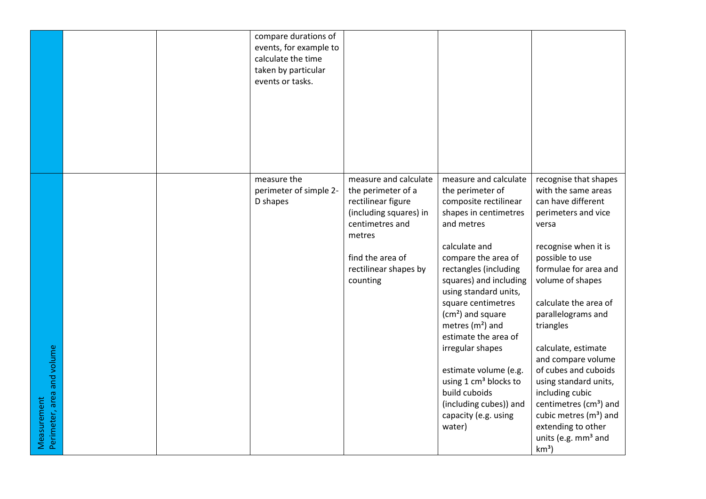|                                           |  | compare durations of<br>events, for example to<br>calculate the time<br>taken by particular<br>events or tasks. |                                                                                                                                                                                   |                                                                                                                                                                                                                                                                                                                                                                                                                                                                                                  |                                                                                                                                                                                                                                                                                                                                                                                                                                                                                                                                 |
|-------------------------------------------|--|-----------------------------------------------------------------------------------------------------------------|-----------------------------------------------------------------------------------------------------------------------------------------------------------------------------------|--------------------------------------------------------------------------------------------------------------------------------------------------------------------------------------------------------------------------------------------------------------------------------------------------------------------------------------------------------------------------------------------------------------------------------------------------------------------------------------------------|---------------------------------------------------------------------------------------------------------------------------------------------------------------------------------------------------------------------------------------------------------------------------------------------------------------------------------------------------------------------------------------------------------------------------------------------------------------------------------------------------------------------------------|
| Perimeter, area and volume<br>Measurement |  | measure the<br>perimeter of simple 2-<br>D shapes                                                               | measure and calculate<br>the perimeter of a<br>rectilinear figure<br>(including squares) in<br>centimetres and<br>metres<br>find the area of<br>rectilinear shapes by<br>counting | measure and calculate<br>the perimeter of<br>composite rectilinear<br>shapes in centimetres<br>and metres<br>calculate and<br>compare the area of<br>rectangles (including<br>squares) and including<br>using standard units,<br>square centimetres<br>(cm <sup>2</sup> ) and square<br>metres $(m2)$ and<br>estimate the area of<br>irregular shapes<br>estimate volume (e.g.<br>using 1 cm <sup>3</sup> blocks to<br>build cuboids<br>(including cubes)) and<br>capacity (e.g. using<br>water) | recognise that shapes<br>with the same areas<br>can have different<br>perimeters and vice<br>versa<br>recognise when it is<br>possible to use<br>formulae for area and<br>volume of shapes<br>calculate the area of<br>parallelograms and<br>triangles<br>calculate, estimate<br>and compare volume<br>of cubes and cuboids<br>using standard units,<br>including cubic<br>centimetres (cm <sup>3</sup> ) and<br>cubic metres (m <sup>3</sup> ) and<br>extending to other<br>units (e.g. mm <sup>3</sup> and<br>km <sup>3</sup> |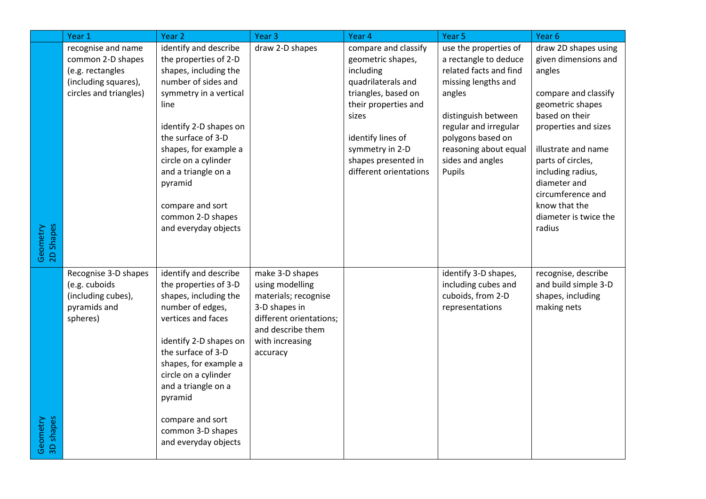|                       | Year 1                                                                                                        | Year 2                                                                                                                                                                                                                                                                                                                               | Year <sub>3</sub>                                                                                                                                          | Year 4                                                                                                                                                                                                                        | Year 5                                                                                                                                                                                                                                | Year 6                                                                                                                                                                                                                                                                                                 |
|-----------------------|---------------------------------------------------------------------------------------------------------------|--------------------------------------------------------------------------------------------------------------------------------------------------------------------------------------------------------------------------------------------------------------------------------------------------------------------------------------|------------------------------------------------------------------------------------------------------------------------------------------------------------|-------------------------------------------------------------------------------------------------------------------------------------------------------------------------------------------------------------------------------|---------------------------------------------------------------------------------------------------------------------------------------------------------------------------------------------------------------------------------------|--------------------------------------------------------------------------------------------------------------------------------------------------------------------------------------------------------------------------------------------------------------------------------------------------------|
| Geometry<br>2D Shapes | recognise and name<br>common 2-D shapes<br>(e.g. rectangles<br>(including squares),<br>circles and triangles) | identify and describe<br>the properties of 2-D<br>shapes, including the<br>number of sides and<br>symmetry in a vertical<br>line<br>identify 2-D shapes on<br>the surface of 3-D<br>shapes, for example a<br>circle on a cylinder<br>and a triangle on a<br>pyramid<br>compare and sort<br>common 2-D shapes<br>and everyday objects | draw 2-D shapes                                                                                                                                            | compare and classify<br>geometric shapes,<br>including<br>quadrilaterals and<br>triangles, based on<br>their properties and<br>sizes<br>identify lines of<br>symmetry in 2-D<br>shapes presented in<br>different orientations | use the properties of<br>a rectangle to deduce<br>related facts and find<br>missing lengths and<br>angles<br>distinguish between<br>regular and irregular<br>polygons based on<br>reasoning about equal<br>sides and angles<br>Pupils | draw 2D shapes using<br>given dimensions and<br>angles<br>compare and classify<br>geometric shapes<br>based on their<br>properties and sizes<br>illustrate and name<br>parts of circles,<br>including radius,<br>diameter and<br>circumference and<br>know that the<br>diameter is twice the<br>radius |
| 3D shapes<br>Geometry | Recognise 3-D shapes<br>(e.g. cuboids<br>(including cubes),<br>pyramids and<br>spheres)                       | identify and describe<br>the properties of 3-D<br>shapes, including the<br>number of edges,<br>vertices and faces<br>identify 2-D shapes on<br>the surface of 3-D<br>shapes, for example a<br>circle on a cylinder<br>and a triangle on a<br>pyramid<br>compare and sort<br>common 3-D shapes<br>and everyday objects                | make 3-D shapes<br>using modelling<br>materials; recognise<br>3-D shapes in<br>different orientations;<br>and describe them<br>with increasing<br>accuracy |                                                                                                                                                                                                                               | identify 3-D shapes,<br>including cubes and<br>cuboids, from 2-D<br>representations                                                                                                                                                   | recognise, describe<br>and build simple 3-D<br>shapes, including<br>making nets                                                                                                                                                                                                                        |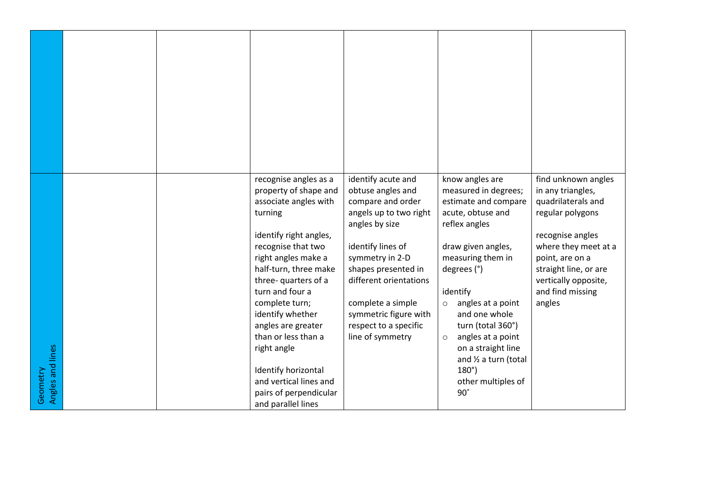| Angles and lines<br>Geometry |  | recognise angles as a<br>property of shape and<br>associate angles with<br>turning<br>identify right angles,<br>recognise that two<br>right angles make a<br>half-turn, three make<br>three- quarters of a<br>turn and four a<br>complete turn;<br>identify whether<br>angles are greater<br>than or less than a<br>right angle<br>Identify horizontal<br>and vertical lines and<br>pairs of perpendicular<br>and parallel lines | identify acute and<br>obtuse angles and<br>compare and order<br>angels up to two right<br>angles by size<br>identify lines of<br>symmetry in 2-D<br>shapes presented in<br>different orientations<br>complete a simple<br>symmetric figure with<br>respect to a specific<br>line of symmetry | know angles are<br>measured in degrees;<br>estimate and compare<br>acute, obtuse and<br>reflex angles<br>draw given angles,<br>measuring them in<br>degrees (°)<br>identify<br>angles at a point<br>$\circ$<br>and one whole<br>turn (total 360°)<br>angles at a point<br>$\circ$<br>on a straight line<br>and 1/2 a turn (total<br>$180^\circ$ )<br>other multiples of<br>$90^\circ$ | find unknown angles<br>in any triangles,<br>quadrilaterals and<br>regular polygons<br>recognise angles<br>where they meet at a<br>point, are on a<br>straight line, or are<br>vertically opposite,<br>and find missing<br>angles |
|------------------------------|--|----------------------------------------------------------------------------------------------------------------------------------------------------------------------------------------------------------------------------------------------------------------------------------------------------------------------------------------------------------------------------------------------------------------------------------|----------------------------------------------------------------------------------------------------------------------------------------------------------------------------------------------------------------------------------------------------------------------------------------------|---------------------------------------------------------------------------------------------------------------------------------------------------------------------------------------------------------------------------------------------------------------------------------------------------------------------------------------------------------------------------------------|----------------------------------------------------------------------------------------------------------------------------------------------------------------------------------------------------------------------------------|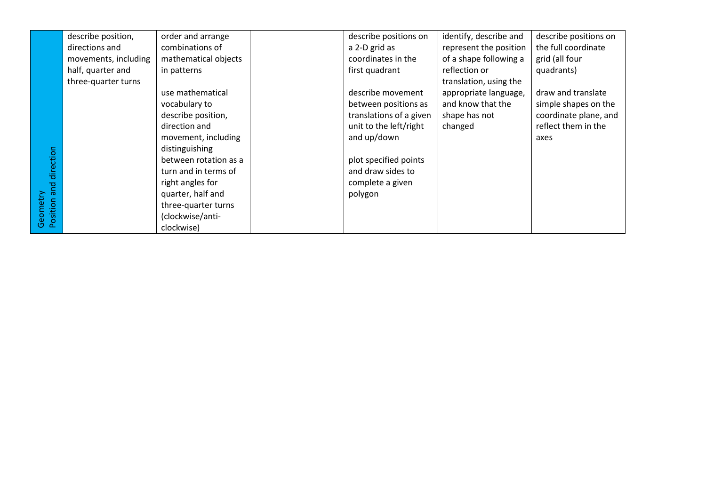|                         | describe position,   | order and arrange     | describe positions on   | identify, describe and | describe positions on |
|-------------------------|----------------------|-----------------------|-------------------------|------------------------|-----------------------|
|                         | directions and       | combinations of       | a 2-D grid as           | represent the position | the full coordinate   |
|                         | movements, including | mathematical objects  | coordinates in the      | of a shape following a | grid (all four        |
|                         | half, quarter and    | in patterns           | first quadrant          | reflection or          | quadrants)            |
|                         | three-quarter turns  |                       |                         | translation, using the |                       |
|                         |                      | use mathematical      | describe movement       | appropriate language,  | draw and translate    |
|                         |                      | vocabulary to         | between positions as    | and know that the      | simple shapes on the  |
|                         |                      | describe position,    | translations of a given | shape has not          | coordinate plane, and |
|                         |                      | direction and         | unit to the left/right  | changed                | reflect them in the   |
|                         |                      | movement, including   | and up/down             |                        | axes                  |
|                         |                      | distinguishing        |                         |                        |                       |
| and direction           |                      | between rotation as a | plot specified points   |                        |                       |
|                         |                      | turn and in terms of  | and draw sides to       |                        |                       |
|                         |                      | right angles for      | complete a given        |                        |                       |
|                         |                      | quarter, half and     | polygon                 |                        |                       |
|                         |                      | three-quarter turns   |                         |                        |                       |
| Geometry<br>Position ar |                      | (clockwise/anti-      |                         |                        |                       |
|                         |                      | clockwise)            |                         |                        |                       |